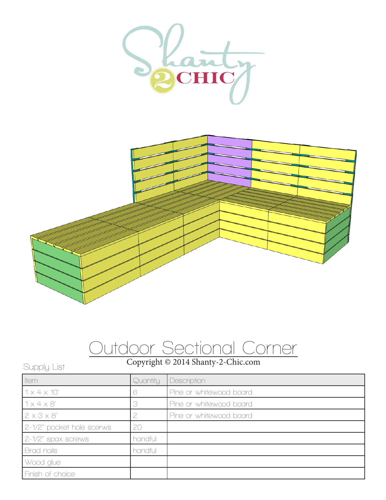



## Outdoor Sectional Corner

## Copyright © 2014 Shanty-2-Chic.com Supply List

| <b>I</b> tem              | Quantity | Description             |
|---------------------------|----------|-------------------------|
| $1 \times 4 \times 10'$   |          | Pine or whitewood board |
| 1x4x8'                    |          | Pine or whitewood board |
| $2 \times 3 \times 8'$    |          | Pine or whitewood board |
| 2-1/2" pocket hole scerws | 20       |                         |
| 2-1/2" spax screws        | handful  |                         |
| Brad nails                | handful  |                         |
| Wood glue                 |          |                         |
| Finish of choice          |          |                         |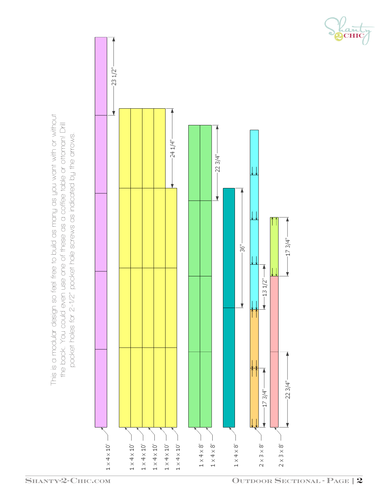



Lant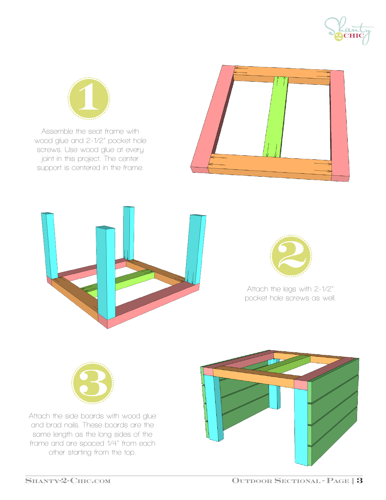



Assemble the seat frame with wood glue and 2-1/2" pocket hole screws. Use wood glue at every joint in this project. The center support is centered in the frame.







Attach the legs with 2-1/2" pocket hole screws as well.



Attach the side boards with wood glue and brad nails. These boards are the same length as the long sides of the frame and are spaced 1/4" from each other starting from the top.

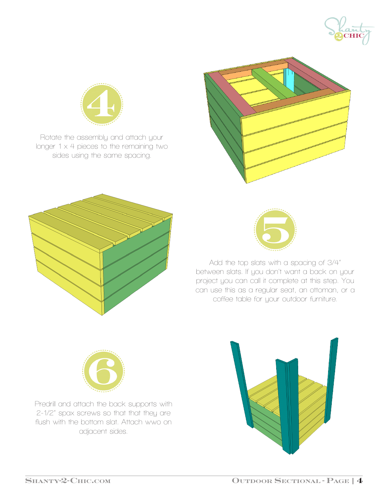



Rotate the assembly and attach your longer 1 x 4 pieces to the remaining two sides using the same spacing.







Add the top slats with a spacing of 3/4" between slats. If you don't want a back on your project you can call it complete at this step. You can use this as a regular seat, an ottoman, or a coffee table for your outdoor furniture.



Predrill and attach the back supports with 2-1/2" spax screws so that that they are flush with the bottom slat. Attach wwo on adjacent sides.

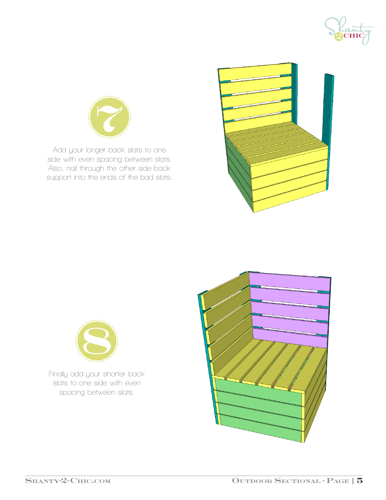



Add your longer back slats to one side with even spacing between slats. Also, nail through the other side back support into the ends of the bad slats.





Finally add your shorter back slats to one side with even spacing between slats.